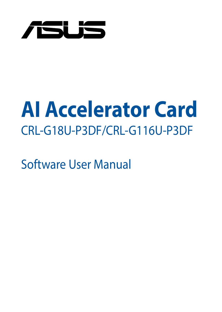

# **AI Accelerator Card** CRL-G18U-P3DF/CRL-G116U-P3DF

Software User Manual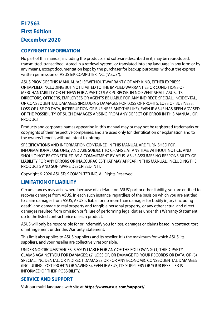#### **First Edition December 2020 E17563**

#### **COPYRIGHT INFORMATION**

No part of this manual, including the products and software described in it, may be reproduced, transmitted, transcribed, stored in a retrieval system, or translated into any language in any form or by any means, except documentation kept by the purchaser for backup purposes, without the express written permission of ASUSTeK COMPUTER INC. ("ASUS")

ASUS PROVIDES THIS MANUAL "AS IS" WITHOUT WARRANTY OF ANY KIND, EITHER EXPRESS OR IMPLIED, INCLUDING BUT NOT LIMITED TO THE IMPLIED WARRANTIES OR CONDITIONS OF MERCHANTABILITY OR FITNESS FOR A PARTICULAR PURPOSE. IN NO EVENT SHALL ASUS, ITS DIRECTORS, OFFICERS, EMPLOYEES OR AGENTS BE LIABLE FOR ANY INDIRECT, SPECIAL, INCIDENTAL, OR CONSEQUENTIAL DAMAGES (INCLUDING DAMAGES FOR LOSS OF PROFITS, LOSS OF BUSINESS, LOSS OF USE OR DATA, INTERRUPTION OF BUSINESS AND THE LIKE), EVEN IF ASUS HAS BEEN ADVISED OF THE POSSIBILITY OF SUCH DAMAGES ARISING FROM ANY DEFECT OR ERROR IN THIS MANUAL OR **PRODUCT** 

Products and corporate names appearing in this manual may or may not be registered trademarks or copyrights of their respective companies, and are used only for identification or explanation and to the owners' benefit, without intent to infringe.

SPECIFICATIONS AND INFORMATION CONTAINED IN THIS MANUAL ARE FURNISHED FOR INFORMATIONAL USE ONLY, AND ARE SUBJECT TO CHANGE AT ANY TIME WITHOUT NOTICE, AND SHOULD NOT BE CONSTRUED AS A COMMITMENT BY ASUS. ASUS ASSUMES NO RESPONSIBILITY OR LIABILITY FOR ANY ERRORS OR INACCURACIES THAT MAY APPEAR IN THIS MANUAL, INCLUDING THE PRODUCTS AND SOFTWARE DESCRIBED IN IT.

Copyright © 2020 ASUSTeK COMPUTER INC. All Rights Reserved.

#### **LIMITATION OF LIABILITY**

Circumstances may arise where because of a default on ASUS' part or other liability, you are entitled to recover damages from ASUS. In each such instance, regardless of the basis on which you are entitled to claim damages from ASUS, ASUS is liable for no more than damages for bodily injury (including death) and damage to real property and tangible personal property; or any other actual and direct damages resulted from omission or failure of performing legal duties under this Warranty Statement, up to the listed contract price of each product.

ASUS will only be responsible for or indemnify you for loss, damages or claims based in contract, tort or infringement under this Warranty Statement.

This limit also applies to ASUS' suppliers and its reseller. It is the maximum for which ASUS, its suppliers, and your reseller are collectively responsible.

UNDER NO CIRCUMSTANCES IS ASUS LIABLE FOR ANY OF THE FOLLOWING: (1) THIRD-PARTY CLAIMS AGAINST YOU FOR DAMAGES; (2) LOSS OF, OR DAMAGE TO, YOUR RECORDS OR DATA; OR (3) SPECIAL, INCIDENTAL, OR INDIRECT DAMAGES OR FOR ANY ECONOMIC CONSEQUENTIAL DAMAGES (INCLUDING LOST PROFITS OR SAVINGS), EVEN IF ASUS, ITS SUPPLIERS OR YOUR RESELLER IS INFORMED OF THEIR POSSIBILITY.

#### **SERVICE AND SUPPORT**

Visit our multi-language web site at **https://www.asus.com/support/**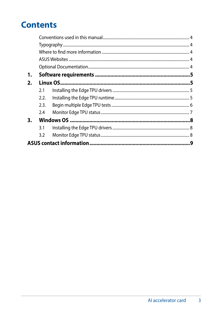### **Contents**

| 1. |      |  |  |  |
|----|------|--|--|--|
| 2. |      |  |  |  |
|    | 2.1  |  |  |  |
|    | 2.2. |  |  |  |
|    | 2.3. |  |  |  |
|    | 2.4  |  |  |  |
| 3. |      |  |  |  |
|    | 3.1  |  |  |  |
|    | 3.2  |  |  |  |
|    |      |  |  |  |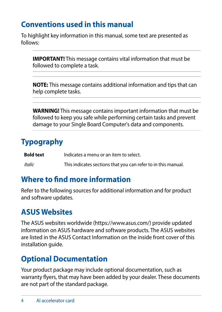### <span id="page-3-0"></span>**Conventions used in this manual**

To highlight key information in this manual, some text are presented as follows:

**IMPORTANT!** This message contains vital information that must be followed to complete a task.

**NOTE:** This message contains additional information and tips that can help complete tasks.

**WARNING!** This message contains important information that must be followed to keep you safe while performing certain tasks and prevent damage to your Single Board Computer's data and components.

### **Typography**

**Bold text** Indicates a menu or an item to select. *Italic* This indicates sections that you can refer to in this manual.

### **Where to find more information**

Refer to the following sources for additional information and for product and software updates.

### **ASUS Websites**

The ASUS websites worldwide (https://www.asus.com/) provide updated information on ASUS hardware and software products. The ASUS websites are listed in the ASUS Contact Information on the inside front cover of this installation guide.

### **Optional Documentation**

Your product package may include optional documentation, such as warranty flyers, that may have been added by your dealer. These documents are not part of the standard package.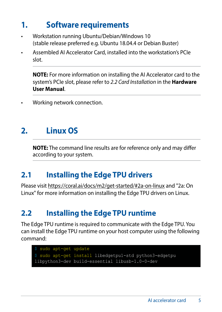### <span id="page-4-0"></span>**1. Software requirements**

- Workstation running Ubuntu/Debian/Windows 10 (stable release preferred e.g. Ubuntu 18.04.4 or Debian Buster)
- Assembled AI Accelerator Card, installed into the workstation's PCIe slot.

**NOTE:** For more information on installing the AI Accelerator card to the system's PCIe slot, please refer to *2.2 Card Installation* in the **Hardware User Manual**.

• Working network connection.

### **2. Linux OS**

**NOTE:** The command line results are for reference only and may differ according to your system.

### **2.1 Installing the Edge TPU drivers**

Please visit<https://coral.ai/docs/m2/get-started/#2a-on-linux>and "2a: On Linux" for more information on installing the Edge TPU drivers on Linux.

### **2.2 Installing the Edge TPU runtime**

The Edge TPU runtime is required to communicate with the Edge TPU. You can install the Edge TPU runtime on your host computer using the following command:

```
$ sudo apt-get update
$ sudo apt-get install libedgetpu1-std python3-edgetpu 
libpython3-dev build-essential libusb-1.0-0-dev
```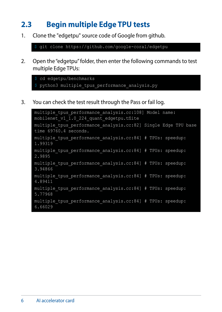### <span id="page-5-0"></span>**2.3 Begin multiple Edge TPU tests**

1. Clone the "edgetpu" source code of Google from github.

\$ git clone https://github.com/google-coral/edgetpu

2. Open the "edgetpu" folder, then enter the following commands to test multiple Edge TPUs:

```
$ cd edgetpu/benchmarks
$ python3 multiple tpus performance analysis.py
```
3. You can check the test result through the Pass or fail log.

```
multiple tpus performance analysis.cc:108] Model name:
mobilenet v1 \overline{1.0} 224 quant edgetpu.tflite
multiple tpus performance analysis.cc:82] Single Edge TPU base
time 69760.4 seconds.
multiple tpus performance analysis.cc:84] # TPUs: speedup:
1.99319
multiple tpus performance analysis.cc:84] # TPUs: speedup:
2.9895
multiple tpus performance analysis.cc:84] # TPUs: speedup:
3.94866
multiple tpus performance analysis.cc:84] # TPUs: speedup:
4.89411
multiple tpus performance analysis.cc:84] # TPUs: speedup:
5.77968
multiple tpus performance analysis.cc:84] # TPUs: speedup:
6.66029
```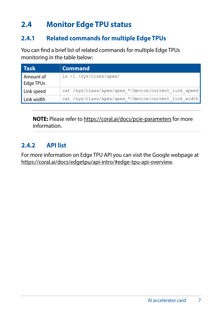### <span id="page-6-0"></span>**2.4 Monitor Edge TPU status**

#### **2.4.1 Related commands for multiple Edge TPUs**

You can find a brief list of related commands for multiple Edge TPUs monitoring in the table below:

| l Task                 | <b>Command</b>                                       |
|------------------------|------------------------------------------------------|
| Amount of<br>Edge TPUs | ls -1 /sys/class/apex/                               |
| Link speed             | cat /sys/class/apex/apex */device/current link speed |
| Link width             | cat /sys/class/apex/apex */device/current link width |

**NOTE:** Please refer to https://coral.ai/docs/pcie-parameters for more information.

#### **2.4.2 API list**

For more information on Edge TPU API you can visit the Google webpage at https://coral.ai/docs/edgetpu/api-intro/#edge-tpu-api-overview.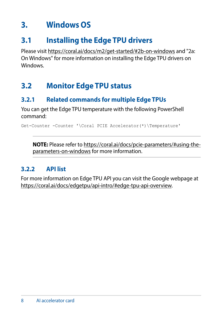### <span id="page-7-0"></span>**3. Windows OS**

### **3.1 Installing the Edge TPU drivers**

Please visit [https://coral.ai/docs/m2/get-started/#2b-on-](https://coral.ai/docs/m2/get-started/#2b-on-windows)windows and "2a: On Windows" for more information on installing the Edge TPU drivers on **Windows** 

### **3.2 Monitor Edge TPU status**

### **3.2.1 Related commands for multiple Edge TPUs**

You can get the Edge TPU temperature with the following PowerShell command:

Get-Counter -Counter '\Coral PCIE Accelerator(\*)\Temperature'

**NOTE:** Please refer to https://coral.ai/docs/pcie-parameters/#using-theparameters-on-windows for more information.

#### **3.2.2 API list**

For more information on Edge TPU API you can visit the Google webpage at https://coral.ai/docs/edgetpu/api-intro/#edge-tpu-api-overview.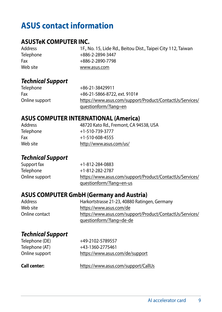### <span id="page-8-0"></span>**ASUS contact information**

#### **ASUSTeK COMPUTER INC.**

| Address   | 1F., No. 15, Lide Rd., Beitou Dist., Taipei City 112, Taiwan |
|-----------|--------------------------------------------------------------|
| Telephone | +886-2-2894-3447                                             |
| Fax       | +886-2-2890-7798                                             |
| Web site  | www.asus.com                                                 |

#### *Technical Support*

| Telephone      | +86-21-38429911                                          |
|----------------|----------------------------------------------------------|
| Fax            | +86-21-5866-8722, ext. 9101#                             |
| Online support | https://www.asus.com/support/Product/ContactUs/Services/ |
|                | questionform/?lang=en                                    |

#### **ASUS COMPUTER INTERNATIONAL (America)**

Address 48720 Kato Rd., Fremont, CA 94538, USA Telephone +1-510-739-3777  $Fax$   $+1-510-608-4555$ <br>Web site<br> $b$ ttp://www.asus http://www.asus.com/us/

## *Technical Support*

Support fax <br>
Telephone +1-812-282-2787 +1-812-282-2787 Online support https://www.asus.com/support/Product/ContactUs/Services/ questionform/?lang=en-us

### **ASUS COMPUTER GmbH (Germany and Austria)**

Harkortstrasse 21-23, 40880 Ratingen, Germany Web site<br>
Online contact<br>
Notine contact<br>
Noting://www.asus.com/sur https://www.asus.com/support/Product/ContactUs/Services/ questionform/?lang=de-de

#### *Technical Support*

Telephone (DE) +49-2102-5789557

Telephone (AT) +43-1360-2775461 Online support https://www.asus.com/de/support

**Call center:** https://www.asus.com/support/CallUs